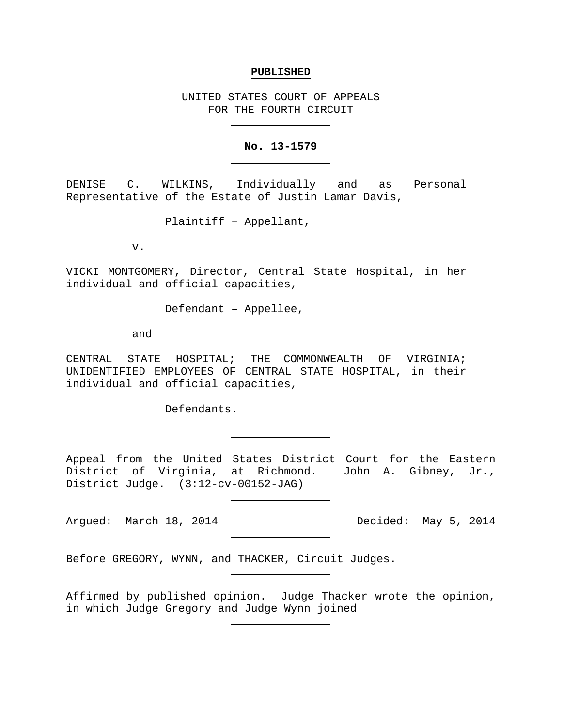### **PUBLISHED**

UNITED STATES COURT OF APPEALS FOR THE FOURTH CIRCUIT

## **No. 13-1579**

DENISE C. WILKINS, Individually and as Personal Representative of the Estate of Justin Lamar Davis,

Plaintiff – Appellant,

v.

VICKI MONTGOMERY, Director, Central State Hospital, in her individual and official capacities,

Defendant – Appellee,

and

CENTRAL STATE HOSPITAL; THE COMMONWEALTH OF VIRGINIA; UNIDENTIFIED EMPLOYEES OF CENTRAL STATE HOSPITAL, in their individual and official capacities,

Defendants.

Appeal from the United States District Court for the Eastern District of Virginia, at Richmond. John A. Gibney, Jr., District Judge. (3:12-cv-00152-JAG)

Argued: March 18, 2014 **Decided:** May 5, 2014

Before GREGORY, WYNN, and THACKER, Circuit Judges.

Affirmed by published opinion. Judge Thacker wrote the opinion, in which Judge Gregory and Judge Wynn joined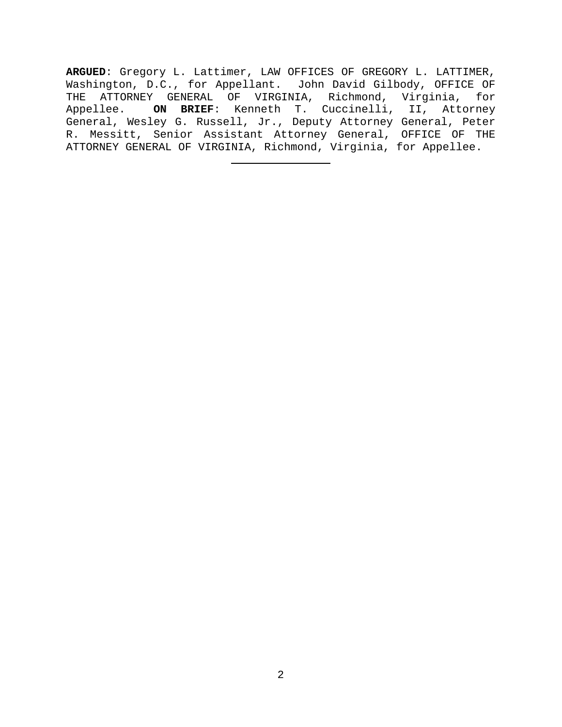**ARGUED**: Gregory L. Lattimer, LAW OFFICES OF GREGORY L. LATTIMER, Washington, D.C., for Appellant. John David Gilbody, OFFICE OF THE ATTORNEY GENERAL OF VIRGINIA, Richmond, Virginia, for Appellee. **ON BRIEF**: Kenneth T. Cuccinelli, II, Attorney General, Wesley G. Russell, Jr., Deputy Attorney General, Peter R. Messitt, Senior Assistant Attorney General, OFFICE OF THE ATTORNEY GENERAL OF VIRGINIA, Richmond, Virginia, for Appellee.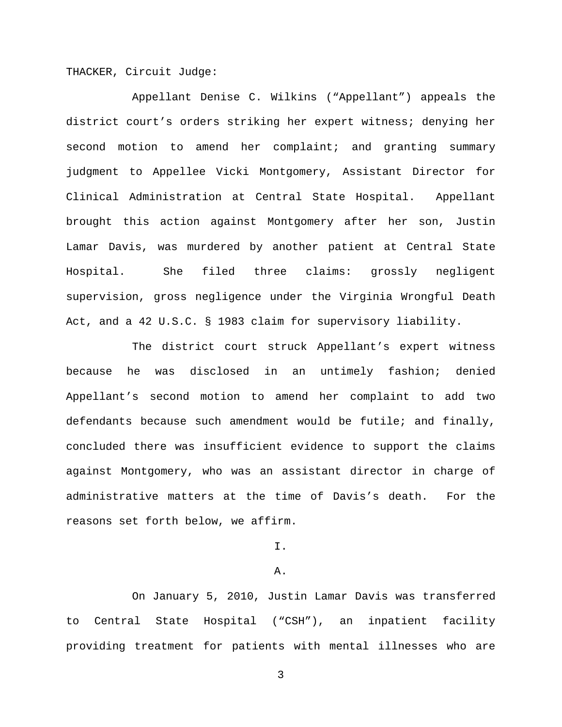THACKER, Circuit Judge:

Appellant Denise C. Wilkins ("Appellant") appeals the district court's orders striking her expert witness; denying her second motion to amend her complaint; and granting summary judgment to Appellee Vicki Montgomery, Assistant Director for Clinical Administration at Central State Hospital. Appellant brought this action against Montgomery after her son, Justin Lamar Davis, was murdered by another patient at Central State Hospital. She filed three claims: grossly negligent supervision, gross negligence under the Virginia Wrongful Death Act, and a 42 U.S.C. § 1983 claim for supervisory liability.

The district court struck Appellant's expert witness because he was disclosed in an untimely fashion; denied Appellant's second motion to amend her complaint to add two defendants because such amendment would be futile; and finally, concluded there was insufficient evidence to support the claims against Montgomery, who was an assistant director in charge of administrative matters at the time of Davis's death. For the reasons set forth below, we affirm.

I.

#### A.

On January 5, 2010, Justin Lamar Davis was transferred to Central State Hospital ("CSH"), an inpatient facility providing treatment for patients with mental illnesses who are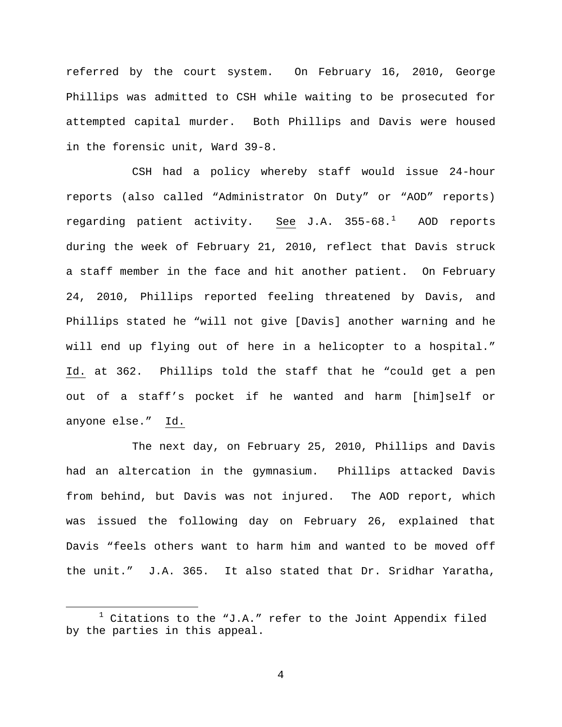referred by the court system. On February 16, 2010, George Phillips was admitted to CSH while waiting to be prosecuted for attempted capital murder. Both Phillips and Davis were housed in the forensic unit, Ward 39-8.

CSH had a policy whereby staff would issue 24-hour reports (also called "Administrator On Duty" or "AOD" reports) regarding patient activity. <u>See</u> J.A. 355-68.<sup>[1](#page-3-0)</sup> AOD reports during the week of February 21, 2010, reflect that Davis struck a staff member in the face and hit another patient. On February 24, 2010, Phillips reported feeling threatened by Davis, and Phillips stated he "will not give [Davis] another warning and he will end up flying out of here in a helicopter to a hospital." Id. at 362. Phillips told the staff that he "could get a pen out of a staff's pocket if he wanted and harm [him]self or anyone else." Id.

The next day, on February 25, 2010, Phillips and Davis had an altercation in the gymnasium. Phillips attacked Davis from behind, but Davis was not injured. The AOD report, which was issued the following day on February 26, explained that Davis "feels others want to harm him and wanted to be moved off the unit." J.A. 365. It also stated that Dr. Sridhar Yaratha,

<span id="page-3-0"></span> $1$  Citations to the "J.A." refer to the Joint Appendix filed by the parties in this appeal.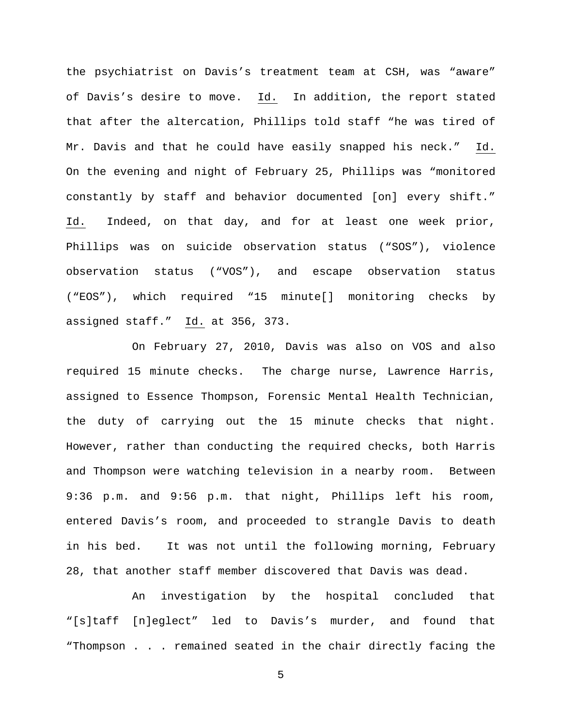the psychiatrist on Davis's treatment team at CSH, was "aware" of Davis's desire to move. Id. In addition, the report stated that after the altercation, Phillips told staff "he was tired of Mr. Davis and that he could have easily snapped his neck." Id. On the evening and night of February 25, Phillips was "monitored constantly by staff and behavior documented [on] every shift." Id. Indeed, on that day, and for at least one week prior, Phillips was on suicide observation status ("SOS"), violence observation status ("VOS"), and escape observation status ("EOS"), which required "15 minute[] monitoring checks by assigned staff." Id. at 356, 373.

On February 27, 2010, Davis was also on VOS and also required 15 minute checks. The charge nurse, Lawrence Harris, assigned to Essence Thompson, Forensic Mental Health Technician, the duty of carrying out the 15 minute checks that night. However, rather than conducting the required checks, both Harris and Thompson were watching television in a nearby room. Between 9:36 p.m. and 9:56 p.m. that night, Phillips left his room, entered Davis's room, and proceeded to strangle Davis to death in his bed. It was not until the following morning, February 28, that another staff member discovered that Davis was dead.

An investigation by the hospital concluded that "[s]taff [n]eglect" led to Davis's murder, and found that "Thompson . . . remained seated in the chair directly facing the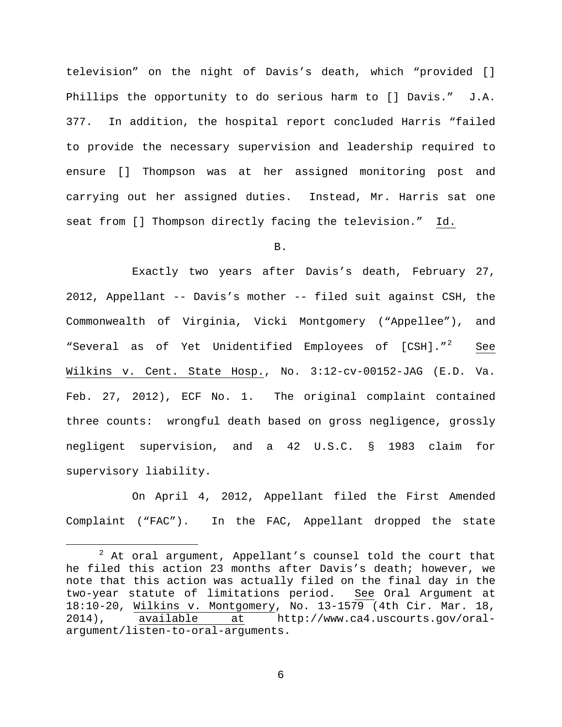television" on the night of Davis's death, which "provided [] Phillips the opportunity to do serious harm to [] Davis." J.A. 377. In addition, the hospital report concluded Harris "failed to provide the necessary supervision and leadership required to ensure [] Thompson was at her assigned monitoring post and carrying out her assigned duties. Instead, Mr. Harris sat one seat from [] Thompson directly facing the television." Id.

B.

Exactly two years after Davis's death, February 27, 2012, Appellant -- Davis's mother -- filed suit against CSH, the Commonwealth of Virginia, Vicki Montgomery ("Appellee"), and "Several as of Yet Unidentified Employees of [CSH]."<sup>[2](#page-5-0)</sup> See Wilkins v. Cent. State Hosp., No. 3:12-cv-00152-JAG (E.D. Va. Feb. 27, 2012), ECF No. 1. The original complaint contained three counts: wrongful death based on gross negligence, grossly negligent supervision, and a 42 U.S.C. § 1983 claim for supervisory liability.

On April 4, 2012, Appellant filed the First Amended Complaint ("FAC"). In the FAC, Appellant dropped the state

<span id="page-5-0"></span> $2$  At oral argument, Appellant's counsel told the court that he filed this action 23 months after Davis's death; however, we note that this action was actually filed on the final day in the two-year statute of limitations period. See Oral Argument at 18:10-20, Wilkins v. Montgomery, No. 13-1579 (4th Cir. Mar. 18,<br>2014), available at http://www.ca4.uscourts.gov/oralat http://www.ca4.uscourts.gov/oralargument/listen-to-oral-arguments.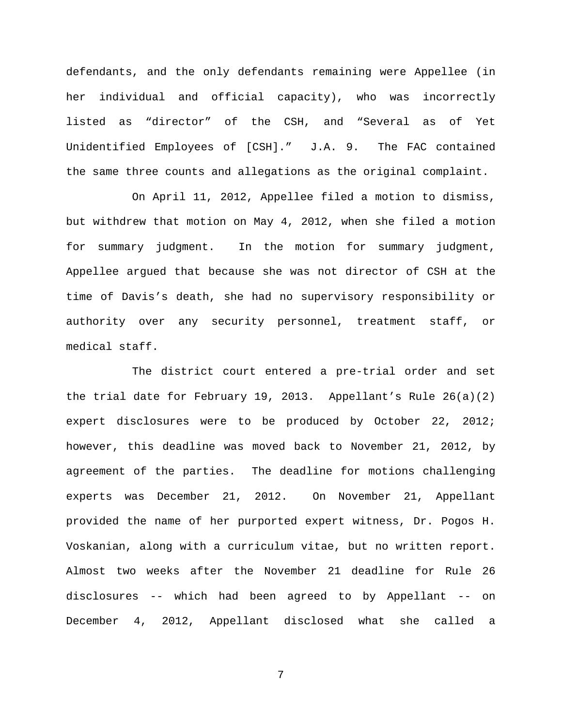defendants, and the only defendants remaining were Appellee (in her individual and official capacity), who was incorrectly listed as "director" of the CSH, and "Several as of Yet Unidentified Employees of [CSH]." J.A. 9. The FAC contained the same three counts and allegations as the original complaint.

On April 11, 2012, Appellee filed a motion to dismiss, but withdrew that motion on May 4, 2012, when she filed a motion for summary judgment. In the motion for summary judgment, Appellee argued that because she was not director of CSH at the time of Davis's death, she had no supervisory responsibility or authority over any security personnel, treatment staff, or medical staff.

The district court entered a pre-trial order and set the trial date for February 19, 2013. Appellant's Rule  $26(a)(2)$ expert disclosures were to be produced by October 22, 2012; however, this deadline was moved back to November 21, 2012, by agreement of the parties. The deadline for motions challenging experts was December 21, 2012. On November 21, Appellant provided the name of her purported expert witness, Dr. Pogos H. Voskanian, along with a curriculum vitae, but no written report. Almost two weeks after the November 21 deadline for Rule 26 disclosures -- which had been agreed to by Appellant -- on December 4, 2012, Appellant disclosed what she called a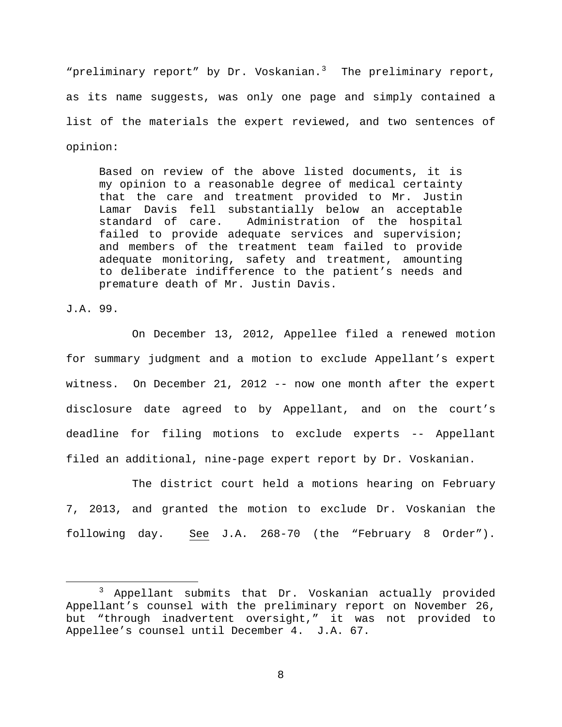"preliminary report" by Dr. Voskanian. $3$  The preliminary report, as its name suggests, was only one page and simply contained a list of the materials the expert reviewed, and two sentences of opinion:

Based on review of the above listed documents, it is my opinion to a reasonable degree of medical certainty that the care and treatment provided to Mr. Justin Lamar Davis fell substantially below an acceptable<br>standard of care. Administration of the hospital Administration of the hospital failed to provide adequate services and supervision; and members of the treatment team failed to provide adequate monitoring, safety and treatment, amounting to deliberate indifference to the patient's needs and premature death of Mr. Justin Davis.

J.A. 99.

On December 13, 2012, Appellee filed a renewed motion for summary judgment and a motion to exclude Appellant's expert witness. On December 21, 2012 -- now one month after the expert disclosure date agreed to by Appellant, and on the court's deadline for filing motions to exclude experts -- Appellant filed an additional, nine-page expert report by Dr. Voskanian.

The district court held a motions hearing on February 7, 2013, and granted the motion to exclude Dr. Voskanian the following day. See J.A. 268-70 (the "February 8 Order").

<span id="page-7-0"></span> <sup>3</sup> Appellant submits that Dr. Voskanian actually provided Appellant's counsel with the preliminary report on November 26, but "through inadvertent oversight," it was not provided to Appellee's counsel until December 4. J.A. 67.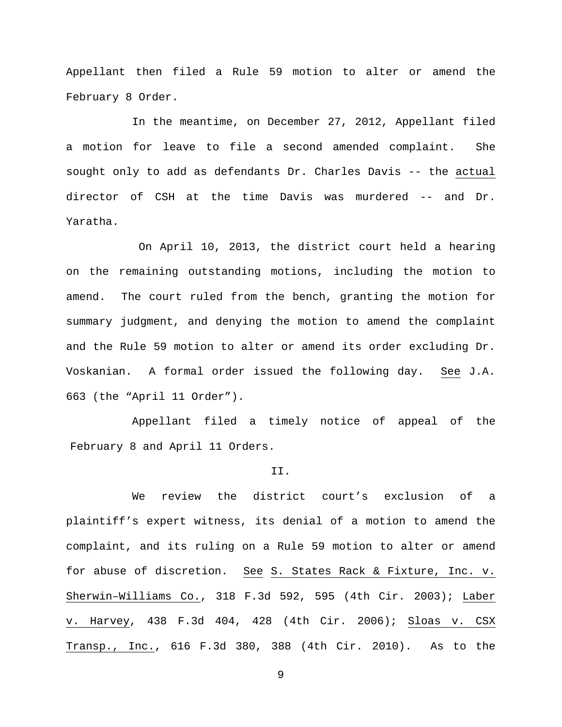Appellant then filed a Rule 59 motion to alter or amend the February 8 Order.

In the meantime, on December 27, 2012, Appellant filed a motion for leave to file a second amended complaint. She sought only to add as defendants Dr. Charles Davis -- the actual director of CSH at the time Davis was murdered -- and Dr. Yaratha.

On April 10, 2013, the district court held a hearing on the remaining outstanding motions, including the motion to amend. The court ruled from the bench, granting the motion for summary judgment, and denying the motion to amend the complaint and the Rule 59 motion to alter or amend its order excluding Dr. Voskanian. A formal order issued the following day. See J.A. 663 (the "April 11 Order").

Appellant filed a timely notice of appeal of the February 8 and April 11 Orders.

#### II.

We review the district court's exclusion of a plaintiff's expert witness, its denial of a motion to amend the complaint, and its ruling on a Rule 59 motion to alter or amend for abuse of discretion. See S. States Rack & Fixture, Inc. v. Sherwin–Williams Co., 318 F.3d 592, 595 (4th Cir. 2003); Laber v. Harvey, 438 F.3d 404, 428 (4th Cir. 2006); Sloas v. CSX Transp., Inc., 616 F.3d 380, 388 (4th Cir. 2010). As to the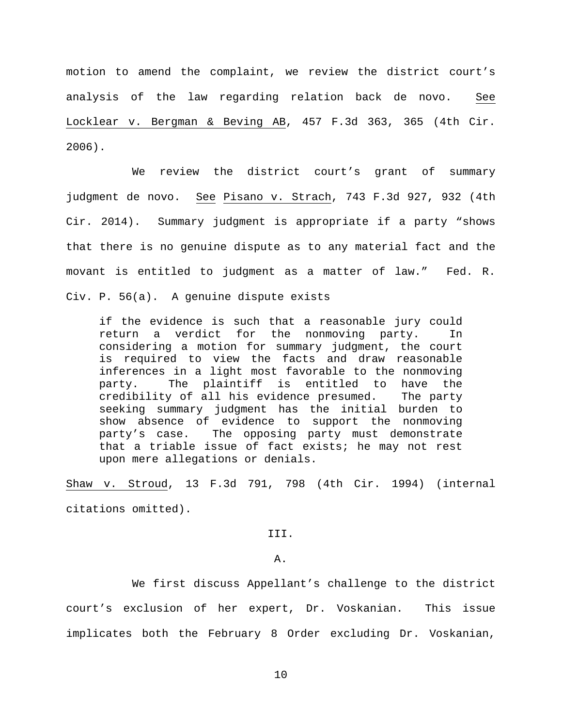motion to amend the complaint, we review the district court's analysis of the law regarding relation back de novo. See Locklear v. Bergman & Beving AB, 457 F.3d 363, 365 (4th Cir. 2006).

We review the district court's grant of summary judgment de novo. See Pisano v. Strach, 743 F.3d 927, 932 (4th Cir. 2014). Summary judgment is appropriate if a party "shows that there is no genuine dispute as to any material fact and the movant is entitled to judgment as a matter of law." Fed. R. Civ. P. 56(a). A genuine dispute exists

if the evidence is such that a reasonable jury could return a verdict for the nonmoving party. In considering a motion for summary judgment, the court is required to view the facts and draw reasonable inferences in a light most favorable to the nonmoving party. The plaintiff is entitled to have the credibility of all his evidence presumed. The party seeking summary judgment has the initial burden to show absence of evidence to support the nonmoving party's case. The opposing party must demonstrate that a triable issue of fact exists; he may not rest upon mere allegations or denials.

Shaw v. Stroud, 13 F.3d 791, 798 (4th Cir. 1994) (internal citations omitted).

III.

A.

We first discuss Appellant's challenge to the district court's exclusion of her expert, Dr. Voskanian. This issue implicates both the February 8 Order excluding Dr. Voskanian,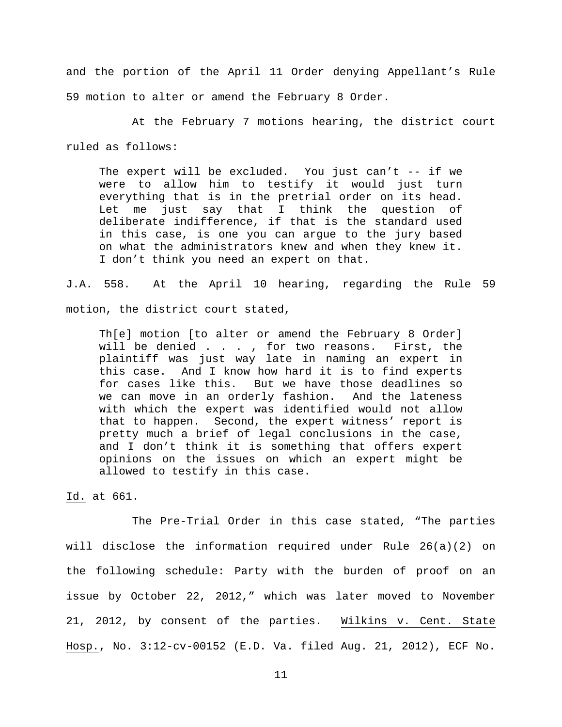and the portion of the April 11 Order denying Appellant's Rule 59 motion to alter or amend the February 8 Order.

At the February 7 motions hearing, the district court ruled as follows:

The expert will be excluded. You just can't -- if we were to allow him to testify it would just turn everything that is in the pretrial order on its head. Let me just say that I think the question of deliberate indifference, if that is the standard used in this case, is one you can argue to the jury based on what the administrators knew and when they knew it. I don't think you need an expert on that.

J.A. 558. At the April 10 hearing, regarding the Rule 59 motion, the district court stated,

Th[e] motion [to alter or amend the February 8 Order] will be denied . . . , for two reasons. First, the plaintiff was just way late in naming an expert in this case. And I know how hard it is to find experts for cases like this. But we have those deadlines so we can move in an orderly fashion. And the lateness with which the expert was identified would not allow that to happen. Second, the expert witness' report is pretty much a brief of legal conclusions in the case, and I don't think it is something that offers expert opinions on the issues on which an expert might be allowed to testify in this case.

Id. at 661.

The Pre-Trial Order in this case stated, "The parties will disclose the information required under Rule 26(a)(2) on the following schedule: Party with the burden of proof on an issue by October 22, 2012," which was later moved to November 21, 2012, by consent of the parties. Wilkins v. Cent. State Hosp., No. 3:12-cv-00152 (E.D. Va. filed Aug. 21, 2012), ECF No.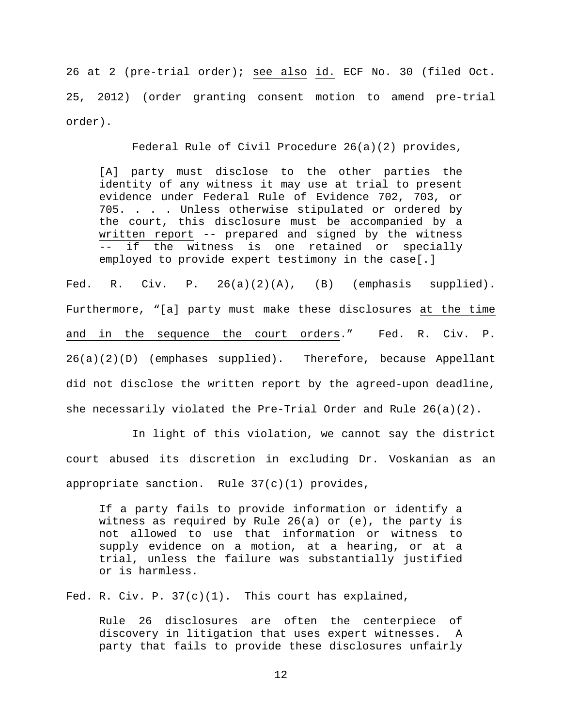26 at 2 (pre-trial order); see also id. ECF No. 30 (filed Oct. 25, 2012) (order granting consent motion to amend pre-trial order).

Federal Rule of Civil Procedure 26(a)(2) provides,

[A] party must disclose to the other parties the identity of any witness it may use at trial to present evidence under Federal Rule of Evidence 702, 703, or 705. . . . Unless otherwise stipulated or ordered by the court, this disclosure must be accompanied by a written report -- prepared and signed by the witness -- if the witness is one retained or specially employed to provide expert testimony in the case[.]

Fed. R. Civ. P.  $26(a)(2)(A)$ , (B) (emphasis supplied). Furthermore, "[a] party must make these disclosures at the time and in the sequence the court orders." Fed. R. Civ. P. 26(a)(2)(D) (emphases supplied). Therefore, because Appellant did not disclose the written report by the agreed-upon deadline, she necessarily violated the Pre-Trial Order and Rule 26(a)(2).

In light of this violation, we cannot say the district court abused its discretion in excluding Dr. Voskanian as an appropriate sanction. Rule 37(c)(1) provides,

If a party fails to provide information or identify a witness as required by Rule 26(a) or (e), the party is not allowed to use that information or witness to supply evidence on a motion, at a hearing, or at a trial, unless the failure was substantially justified or is harmless.

Fed. R. Civ. P. 37(c)(1). This court has explained,

Rule 26 disclosures are often the centerpiece of discovery in litigation that uses expert witnesses. A party that fails to provide these disclosures unfairly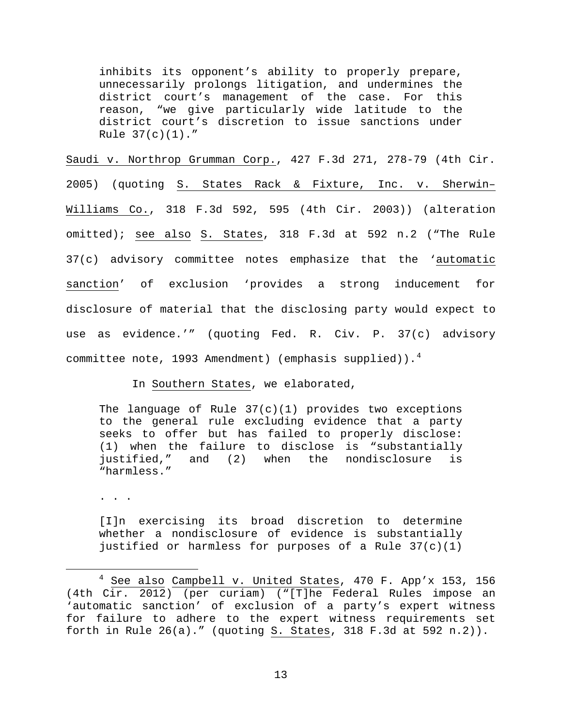inhibits its opponent's ability to properly prepare, unnecessarily prolongs litigation, and undermines the district court's management of the case. For this reason, "we give particularly wide latitude to the district court's discretion to issue sanctions under Rule  $37(c)(1)$ ."

Saudi v. Northrop Grumman Corp., 427 F.3d 271, 278-79 (4th Cir. 2005) (quoting S. States Rack & Fixture, Inc. v. Sherwin– Williams Co., 318 F.3d 592, 595 (4th Cir. 2003)) (alteration omitted); see also S. States, 318 F.3d at 592 n.2 ("The Rule 37(c) advisory committee notes emphasize that the 'automatic sanction' of exclusion 'provides a strong inducement for disclosure of material that the disclosing party would expect to use as evidence.'" (quoting Fed. R. Civ. P. 37(c) advisory committee note, 1993 Amendment) (emphasis supplied)).<sup>[4](#page-12-0)</sup>

In Southern States, we elaborated,

The language of Rule  $37(c)(1)$  provides two exceptions to the general rule excluding evidence that a party seeks to offer but has failed to properly disclose: (1) when the failure to disclose is "substantially justified," and (2) when the nondisclosure is "harmless."

. . .

[I]n exercising its broad discretion to determine whether a nondisclosure of evidence is substantially justified or harmless for purposes of a Rule 37(c)(1)

<span id="page-12-0"></span> $4$  See also Campbell v. United States, 470 F. App'x 153, 156 (4th Cir. 2012) (per curiam) ("[T]he Federal Rules impose an 'automatic sanction' of exclusion of a party's expert witness for failure to adhere to the expert witness requirements set forth in Rule 26(a)." (quoting S. States, 318 F.3d at 592 n.2)).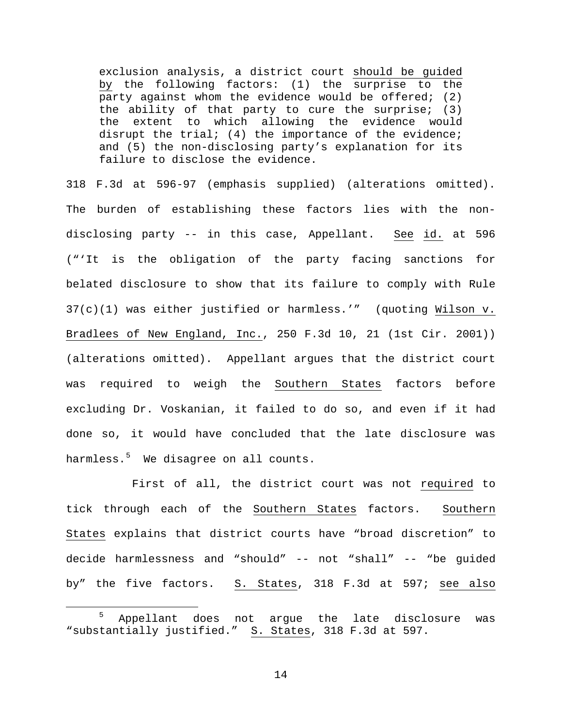exclusion analysis, a district court should be guided by the following factors: (1) the surprise to the party against whom the evidence would be offered; (2) the ability of that party to cure the surprise; (3) the extent to which allowing the evidence would disrupt the trial; (4) the importance of the evidence; and (5) the non-disclosing party's explanation for its failure to disclose the evidence.

318 F.3d at 596-97 (emphasis supplied) (alterations omitted). The burden of establishing these factors lies with the nondisclosing party -- in this case, Appellant. See id. at 596 ("'It is the obligation of the party facing sanctions for belated disclosure to show that its failure to comply with Rule 37(c)(1) was either justified or harmless.'" (quoting Wilson v. Bradlees of New England, Inc., 250 F.3d 10, 21 (1st Cir. 2001)) (alterations omitted). Appellant argues that the district court was required to weigh the Southern States factors before excluding Dr. Voskanian, it failed to do so, and even if it had done so, it would have concluded that the late disclosure was harmless.[5](#page-13-0) We disagree on all counts.

First of all, the district court was not required to tick through each of the Southern States factors. Southern States explains that district courts have "broad discretion" to decide harmlessness and "should" -- not "shall" -- "be guided by" the five factors. S. States, 318 F.3d at 597; see also

<span id="page-13-0"></span> <sup>5</sup> Appellant does not argue the late disclosure was "substantially justified." S. States, 318 F.3d at 597.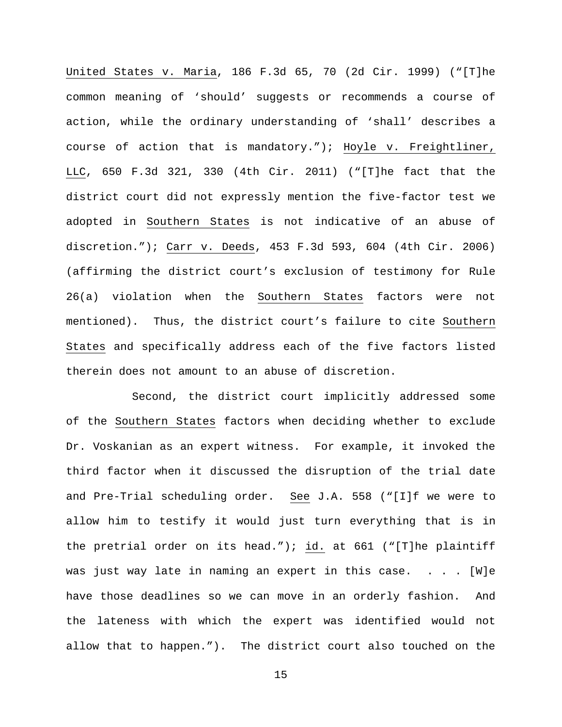United States v. Maria, 186 F.3d 65, 70 (2d Cir. 1999) ("[T]he common meaning of 'should' suggests or recommends a course of action, while the ordinary understanding of 'shall' describes a course of action that is mandatory."); Hoyle v. Freightliner, LLC, 650 F.3d 321, 330 (4th Cir. 2011) ("[T]he fact that the district court did not expressly mention the five-factor test we adopted in Southern States is not indicative of an abuse of discretion."); Carr v. Deeds, 453 F.3d 593, 604 (4th Cir. 2006) (affirming the district court's exclusion of testimony for Rule 26(a) violation when the Southern States factors were not mentioned). Thus, the district court's failure to cite Southern States and specifically address each of the five factors listed therein does not amount to an abuse of discretion.

Second, the district court implicitly addressed some of the Southern States factors when deciding whether to exclude Dr. Voskanian as an expert witness. For example, it invoked the third factor when it discussed the disruption of the trial date and Pre-Trial scheduling order. See J.A. 558 ("[I]f we were to allow him to testify it would just turn everything that is in the pretrial order on its head."); id. at 661 ("[T]he plaintiff was just way late in naming an expert in this case. . . . [W]e have those deadlines so we can move in an orderly fashion. And the lateness with which the expert was identified would not allow that to happen."). The district court also touched on the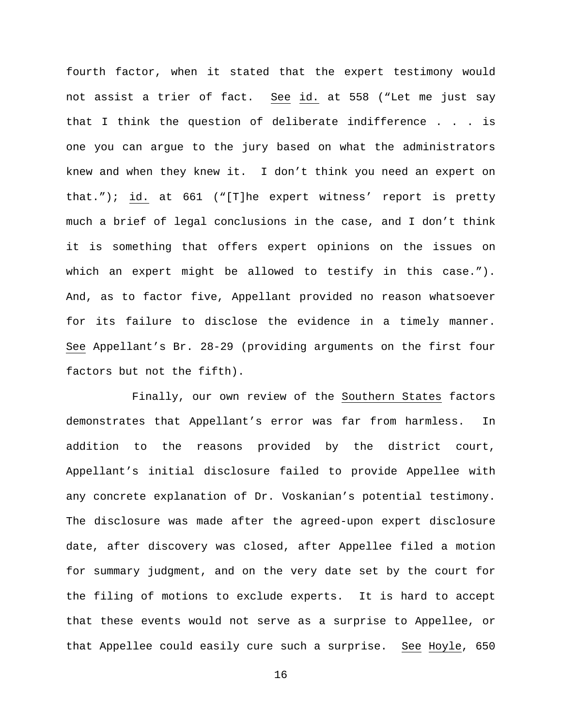fourth factor, when it stated that the expert testimony would not assist a trier of fact. See id. at 558 ("Let me just say that I think the question of deliberate indifference . . . is one you can argue to the jury based on what the administrators knew and when they knew it. I don't think you need an expert on that."); id. at 661 ("[T]he expert witness' report is pretty much a brief of legal conclusions in the case, and I don't think it is something that offers expert opinions on the issues on which an expert might be allowed to testify in this case."). And, as to factor five, Appellant provided no reason whatsoever for its failure to disclose the evidence in a timely manner. See Appellant's Br. 28-29 (providing arguments on the first four factors but not the fifth).

Finally, our own review of the Southern States factors demonstrates that Appellant's error was far from harmless. In addition to the reasons provided by the district court, Appellant's initial disclosure failed to provide Appellee with any concrete explanation of Dr. Voskanian's potential testimony. The disclosure was made after the agreed-upon expert disclosure date, after discovery was closed, after Appellee filed a motion for summary judgment, and on the very date set by the court for the filing of motions to exclude experts. It is hard to accept that these events would not serve as a surprise to Appellee, or that Appellee could easily cure such a surprise. See Hoyle, 650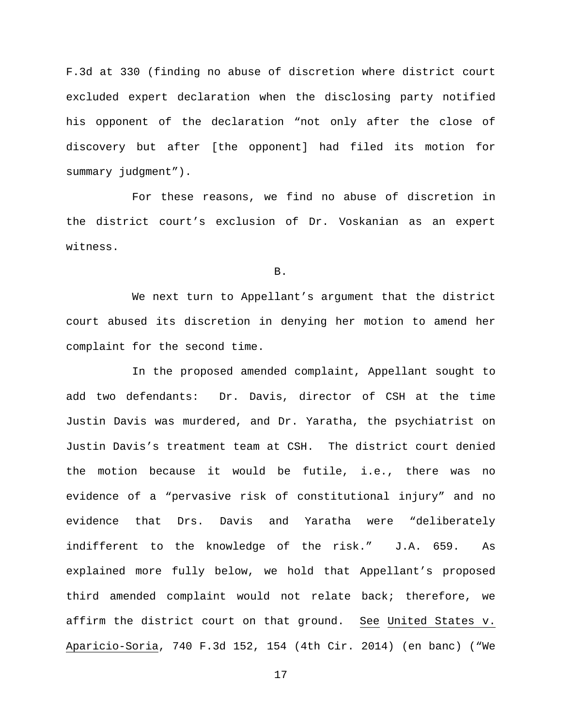F.3d at 330 (finding no abuse of discretion where district court excluded expert declaration when the disclosing party notified his opponent of the declaration "not only after the close of discovery but after [the opponent] had filed its motion for summary judgment").

For these reasons, we find no abuse of discretion in the district court's exclusion of Dr. Voskanian as an expert witness.

B.

We next turn to Appellant's argument that the district court abused its discretion in denying her motion to amend her complaint for the second time.

In the proposed amended complaint, Appellant sought to add two defendants: Dr. Davis, director of CSH at the time Justin Davis was murdered, and Dr. Yaratha, the psychiatrist on Justin Davis's treatment team at CSH. The district court denied the motion because it would be futile, i.e., there was no evidence of a "pervasive risk of constitutional injury" and no evidence that Drs. Davis and Yaratha were "deliberately indifferent to the knowledge of the risk." J.A. 659. As explained more fully below, we hold that Appellant's proposed third amended complaint would not relate back; therefore, we affirm the district court on that ground. See United States v. Aparicio-Soria, 740 F.3d 152, 154 (4th Cir. 2014) (en banc) ("We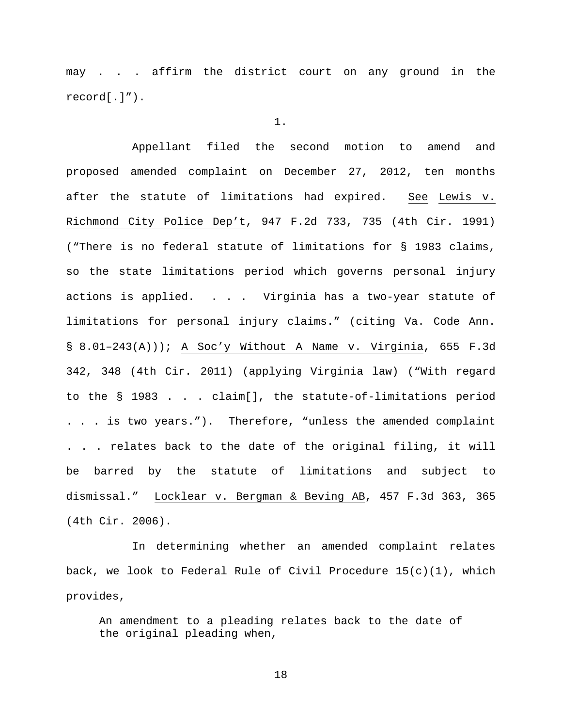may . . . affirm the district court on any ground in the record[.]").

1.

Appellant filed the second motion to amend and proposed amended complaint on December 27, 2012, ten months after the statute of limitations had expired. See Lewis v. Richmond City Police Dep't, 947 F.2d 733, 735 (4th Cir. 1991) ("There is no federal statute of limitations for § 1983 claims, so the state limitations period which governs personal injury actions is applied. . . . Virginia has a two-year statute of limitations for personal injury claims." (citing Va. Code Ann. § 8.01–243(A))); A Soc'y Without A Name v. Virginia, 655 F.3d 342, 348 (4th Cir. 2011) (applying Virginia law) ("With regard to the § 1983 . . . claim[], the statute-of-limitations period . . . is two years."). Therefore, "unless the amended complaint . . . relates back to the date of the original filing, it will be barred by the statute of limitations and subject to dismissal." Locklear v. Bergman & Beving AB, 457 F.3d 363, 365 (4th Cir. 2006).

In determining whether an amended complaint relates back, we look to Federal Rule of Civil Procedure  $15(c)(1)$ , which provides,

An amendment to a pleading relates back to the date of the original pleading when,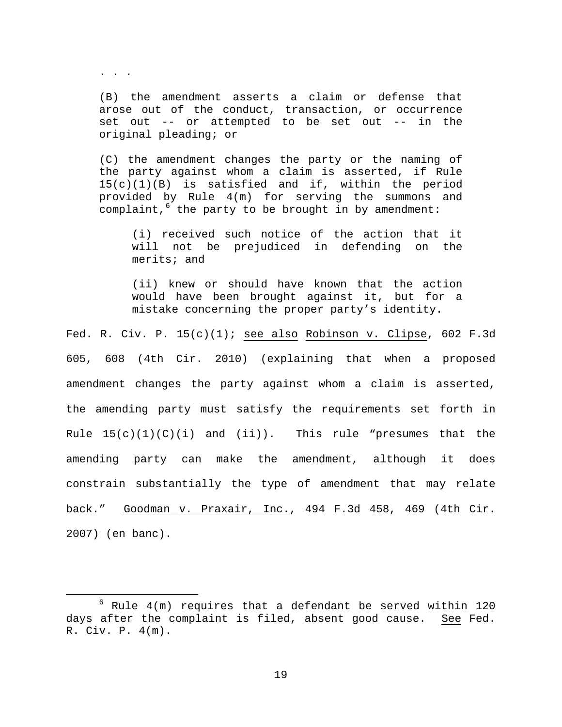. . .

(B) the amendment asserts a claim or defense that arose out of the conduct, transaction, or occurrence set out -- or attempted to be set out -- in the original pleading; or

(C) the amendment changes the party or the naming of the party against whom a claim is asserted, if Rule 15(c)(1)(B) is satisfied and if, within the period provided by Rule 4(m) for serving the summons and complaint,  $6$  the party to be brought in by amendment:

(i) received such notice of the action that it will not be prejudiced in defending on the merits; and

(ii) knew or should have known that the action would have been brought against it, but for a mistake concerning the proper party's identity.

Fed. R. Civ. P.  $15(c)(1)$ ; see also Robinson v. Clipse, 602 F.3d 605, 608 (4th Cir. 2010) (explaining that when a proposed amendment changes the party against whom a claim is asserted, the amending party must satisfy the requirements set forth in Rule  $15(c)(1)(C)(i)$  and  $(ii)$ . This rule "presumes that the amending party can make the amendment, although it does constrain substantially the type of amendment that may relate back." Goodman v. Praxair, Inc., 494 F.3d 458, 469 (4th Cir. 2007) (en banc).

<span id="page-18-0"></span> $6$  Rule  $4(m)$  requires that a defendant be served within 120 days after the complaint is filed, absent good cause. See Fed. R. Civ. P. 4(m).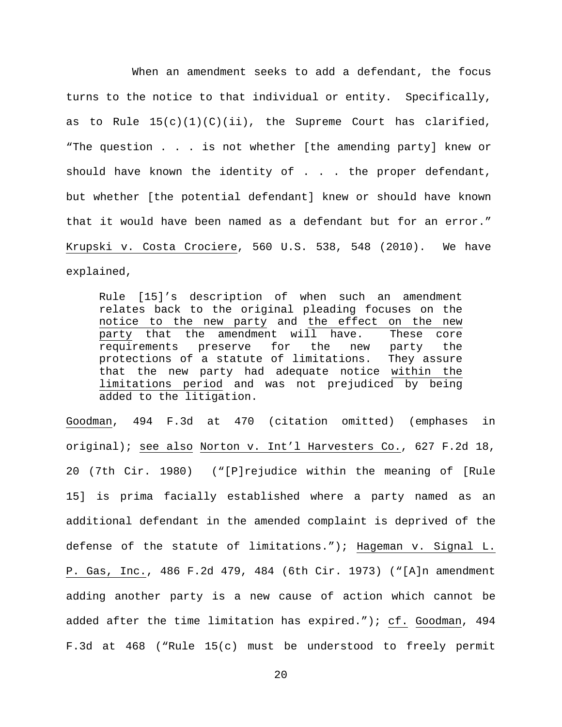When an amendment seeks to add a defendant, the focus turns to the notice to that individual or entity. Specifically, as to Rule  $15(c)(1)(C)(ii)$ , the Supreme Court has clarified, "The question . . . is not whether [the amending party] knew or should have known the identity of  $\ldots$  . the proper defendant, but whether [the potential defendant] knew or should have known that it would have been named as a defendant but for an error." Krupski v. Costa Crociere, 560 U.S. 538, 548 (2010). We have explained,

Rule [15]'s description of when such an amendment relates back to the original pleading focuses on the notice to the new party and the effect on the new<br>party that the amendment will have. These core party that the amendment will have. requirements preserve for the new party the protections of a statute of limitations. They assure that the new party had adequate notice within the limitations period and was not prejudiced by being added to the litigation.

Goodman, 494 F.3d at 470 (citation omitted) (emphases in original); see also Norton v. Int'l Harvesters Co., 627 F.2d 18, 20 (7th Cir. 1980) ("[P]rejudice within the meaning of [Rule 15] is prima facially established where a party named as an additional defendant in the amended complaint is deprived of the defense of the statute of limitations."); Hageman v. Signal L. P. Gas, Inc., 486 F.2d 479, 484 (6th Cir. 1973) ("[A]n amendment adding another party is a new cause of action which cannot be added after the time limitation has expired."); cf. Goodman, 494 F.3d at 468 ("Rule 15(c) must be understood to freely permit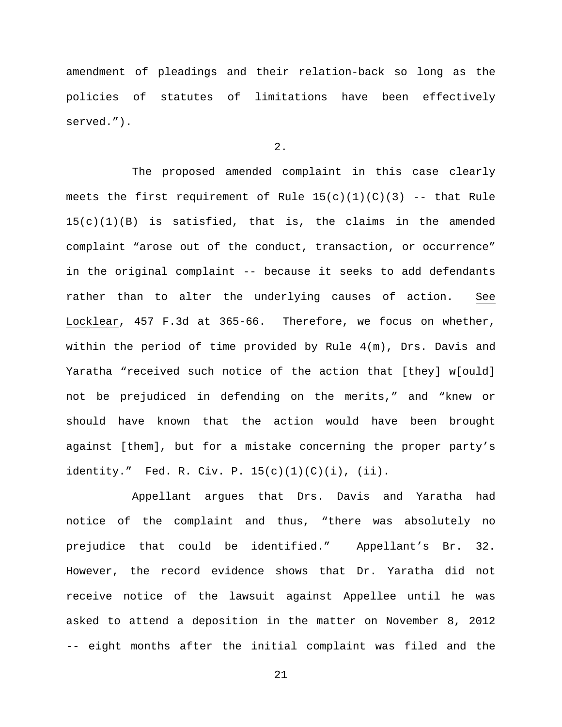amendment of pleadings and their relation-back so long as the policies of statutes of limitations have been effectively served.").

# 2.

The proposed amended complaint in this case clearly meets the first requirement of Rule  $15(c)(1)(C)(3)$  -- that Rule  $15(c)(1)(B)$  is satisfied, that is, the claims in the amended complaint "arose out of the conduct, transaction, or occurrence" in the original complaint -- because it seeks to add defendants rather than to alter the underlying causes of action. See Locklear, 457 F.3d at 365-66. Therefore, we focus on whether, within the period of time provided by Rule 4(m), Drs. Davis and Yaratha "received such notice of the action that [they] w[ould] not be prejudiced in defending on the merits," and "knew or should have known that the action would have been brought against [them], but for a mistake concerning the proper party's identity." Fed. R. Civ. P.  $15(c)(1)(c)(i)$ , (ii).

Appellant argues that Drs. Davis and Yaratha had notice of the complaint and thus, "there was absolutely no prejudice that could be identified." Appellant's Br. 32. However, the record evidence shows that Dr. Yaratha did not receive notice of the lawsuit against Appellee until he was asked to attend a deposition in the matter on November 8, 2012 -- eight months after the initial complaint was filed and the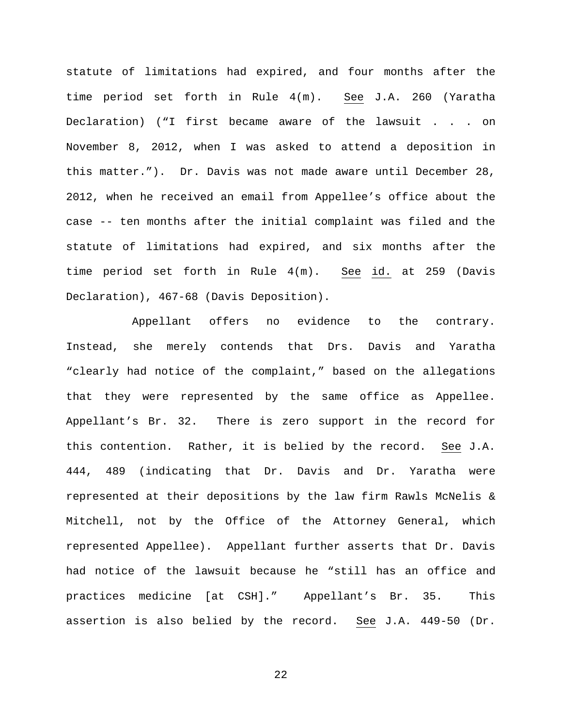statute of limitations had expired, and four months after the time period set forth in Rule 4(m). See J.A. 260 (Yaratha Declaration) ("I first became aware of the lawsuit . . . on November 8, 2012, when I was asked to attend a deposition in this matter."). Dr. Davis was not made aware until December 28, 2012, when he received an email from Appellee's office about the case -- ten months after the initial complaint was filed and the statute of limitations had expired, and six months after the time period set forth in Rule 4(m). See id. at 259 (Davis Declaration), 467-68 (Davis Deposition).

Appellant offers no evidence to the contrary. Instead, she merely contends that Drs. Davis and Yaratha "clearly had notice of the complaint," based on the allegations that they were represented by the same office as Appellee. Appellant's Br. 32. There is zero support in the record for this contention. Rather, it is belied by the record. See J.A. 444, 489 (indicating that Dr. Davis and Dr. Yaratha were represented at their depositions by the law firm Rawls McNelis & Mitchell, not by the Office of the Attorney General, which represented Appellee). Appellant further asserts that Dr. Davis had notice of the lawsuit because he "still has an office and practices medicine [at CSH]." Appellant's Br. 35. This assertion is also belied by the record. See J.A. 449-50 (Dr.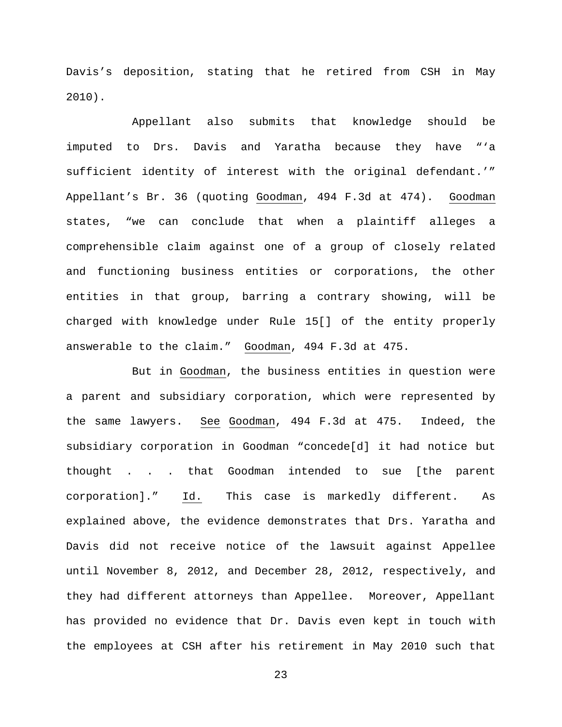Davis's deposition, stating that he retired from CSH in May 2010).

Appellant also submits that knowledge should be imputed to Drs. Davis and Yaratha because they have "'a sufficient identity of interest with the original defendant.'" Appellant's Br. 36 (quoting Goodman, 494 F.3d at 474). Goodman states, "we can conclude that when a plaintiff alleges a comprehensible claim against one of a group of closely related and functioning business entities or corporations, the other entities in that group, barring a contrary showing, will be charged with knowledge under Rule 15[] of the entity properly answerable to the claim." Goodman, 494 F.3d at 475.

But in Goodman, the business entities in question were a parent and subsidiary corporation, which were represented by the same lawyers. See Goodman, 494 F.3d at 475. Indeed, the subsidiary corporation in Goodman "concede[d] it had notice but thought . . . that Goodman intended to sue [the parent corporation]." Id. This case is markedly different. As explained above, the evidence demonstrates that Drs. Yaratha and Davis did not receive notice of the lawsuit against Appellee until November 8, 2012, and December 28, 2012, respectively, and they had different attorneys than Appellee. Moreover, Appellant has provided no evidence that Dr. Davis even kept in touch with the employees at CSH after his retirement in May 2010 such that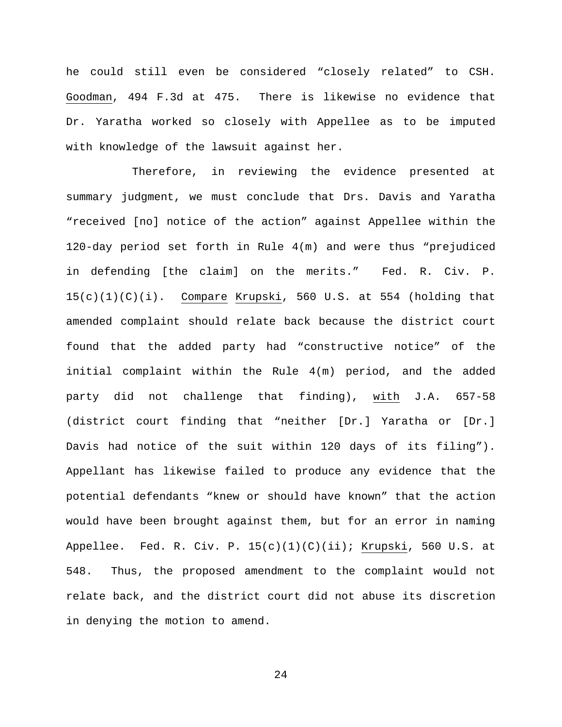he could still even be considered "closely related" to CSH. Goodman, 494 F.3d at 475. There is likewise no evidence that Dr. Yaratha worked so closely with Appellee as to be imputed with knowledge of the lawsuit against her.

Therefore, in reviewing the evidence presented at summary judgment, we must conclude that Drs. Davis and Yaratha "received [no] notice of the action" against Appellee within the 120-day period set forth in Rule 4(m) and were thus "prejudiced in defending [the claim] on the merits." Fed. R. Civ. P.  $15(c)(1)(C)(i)$ . Compare Krupski, 560 U.S. at 554 (holding that amended complaint should relate back because the district court found that the added party had "constructive notice" of the initial complaint within the Rule 4(m) period, and the added party did not challenge that finding), with J.A. 657-58 (district court finding that "neither [Dr.] Yaratha or [Dr.] Davis had notice of the suit within 120 days of its filing"). Appellant has likewise failed to produce any evidence that the potential defendants "knew or should have known" that the action would have been brought against them, but for an error in naming Appellee. Fed. R. Civ. P. 15(c)(1)(C)(ii); Krupski, 560 U.S. at 548. Thus, the proposed amendment to the complaint would not relate back, and the district court did not abuse its discretion in denying the motion to amend.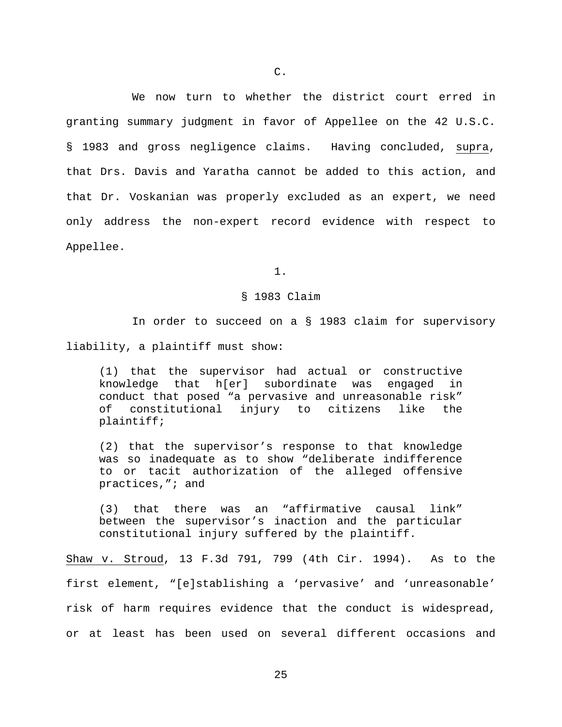We now turn to whether the district court erred in granting summary judgment in favor of Appellee on the 42 U.S.C. § 1983 and gross negligence claims. Having concluded, supra, that Drs. Davis and Yaratha cannot be added to this action, and that Dr. Voskanian was properly excluded as an expert, we need only address the non-expert record evidence with respect to Appellee.

1.

### § 1983 Claim

In order to succeed on a § 1983 claim for supervisory liability, a plaintiff must show:

(1) that the supervisor had actual or constructive knowledge that h[er] subordinate was engaged in conduct that posed "a pervasive and unreasonable risk" constitutional injury to citizens like the plaintiff;

(2) that the supervisor's response to that knowledge was so inadequate as to show "deliberate indifference to or tacit authorization of the alleged offensive practices,"; and

(3) that there was an "affirmative causal link" between the supervisor's inaction and the particular constitutional injury suffered by the plaintiff.

Shaw v. Stroud, 13 F.3d 791, 799 (4th Cir. 1994). As to the first element, "[e]stablishing a 'pervasive' and 'unreasonable' risk of harm requires evidence that the conduct is widespread, or at least has been used on several different occasions and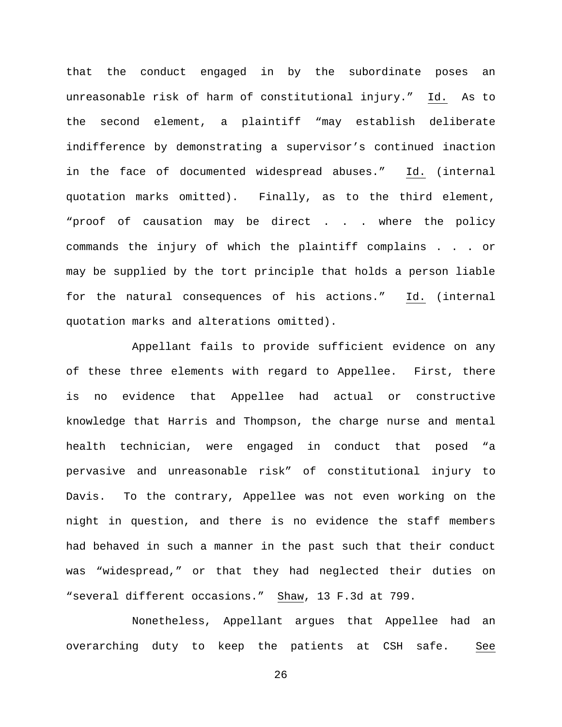that the conduct engaged in by the subordinate poses an unreasonable risk of harm of constitutional injury." Id. As to the second element, a plaintiff "may establish deliberate indifference by demonstrating a supervisor's continued inaction in the face of documented widespread abuses." Id. (internal quotation marks omitted). Finally, as to the third element, "proof of causation may be direct . . . where the policy commands the injury of which the plaintiff complains . . . or may be supplied by the tort principle that holds a person liable for the natural consequences of his actions." Id. (internal quotation marks and alterations omitted).

Appellant fails to provide sufficient evidence on any of these three elements with regard to Appellee. First, there is no evidence that Appellee had actual or constructive knowledge that Harris and Thompson, the charge nurse and mental health technician, were engaged in conduct that posed "a pervasive and unreasonable risk" of constitutional injury to Davis. To the contrary, Appellee was not even working on the night in question, and there is no evidence the staff members had behaved in such a manner in the past such that their conduct was "widespread," or that they had neglected their duties on "several different occasions." Shaw, 13 F.3d at 799.

Nonetheless, Appellant argues that Appellee had an overarching duty to keep the patients at CSH safe. See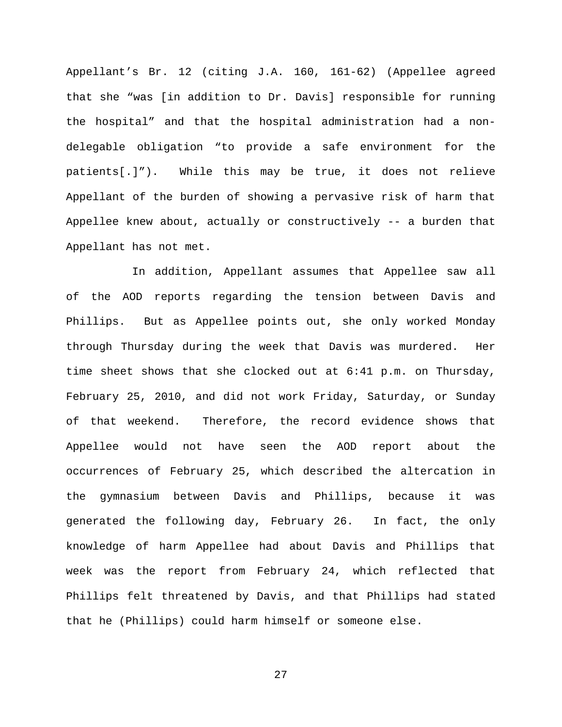Appellant's Br. 12 (citing J.A. 160, 161-62) (Appellee agreed that she "was [in addition to Dr. Davis] responsible for running the hospital" and that the hospital administration had a nondelegable obligation "to provide a safe environment for the patients[.]"). While this may be true, it does not relieve Appellant of the burden of showing a pervasive risk of harm that Appellee knew about, actually or constructively -- a burden that Appellant has not met.

In addition, Appellant assumes that Appellee saw all of the AOD reports regarding the tension between Davis and Phillips. But as Appellee points out, she only worked Monday through Thursday during the week that Davis was murdered. Her time sheet shows that she clocked out at 6:41 p.m. on Thursday, February 25, 2010, and did not work Friday, Saturday, or Sunday of that weekend. Therefore, the record evidence shows that Appellee would not have seen the AOD report about the occurrences of February 25, which described the altercation in the gymnasium between Davis and Phillips, because it was generated the following day, February 26. In fact, the only knowledge of harm Appellee had about Davis and Phillips that week was the report from February 24, which reflected that Phillips felt threatened by Davis, and that Phillips had stated that he (Phillips) could harm himself or someone else.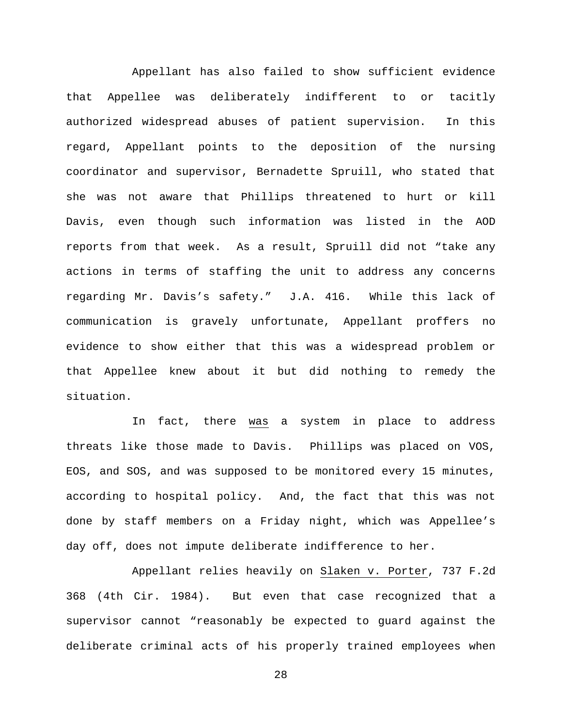Appellant has also failed to show sufficient evidence that Appellee was deliberately indifferent to or tacitly authorized widespread abuses of patient supervision. In this regard, Appellant points to the deposition of the nursing coordinator and supervisor, Bernadette Spruill, who stated that she was not aware that Phillips threatened to hurt or kill Davis, even though such information was listed in the AOD reports from that week. As a result, Spruill did not "take any actions in terms of staffing the unit to address any concerns regarding Mr. Davis's safety." J.A. 416. While this lack of communication is gravely unfortunate, Appellant proffers no evidence to show either that this was a widespread problem or that Appellee knew about it but did nothing to remedy the situation.

In fact, there was a system in place to address threats like those made to Davis. Phillips was placed on VOS, EOS, and SOS, and was supposed to be monitored every 15 minutes, according to hospital policy. And, the fact that this was not done by staff members on a Friday night, which was Appellee's day off, does not impute deliberate indifference to her.

Appellant relies heavily on Slaken v. Porter, 737 F.2d 368 (4th Cir. 1984). But even that case recognized that a supervisor cannot "reasonably be expected to guard against the deliberate criminal acts of his properly trained employees when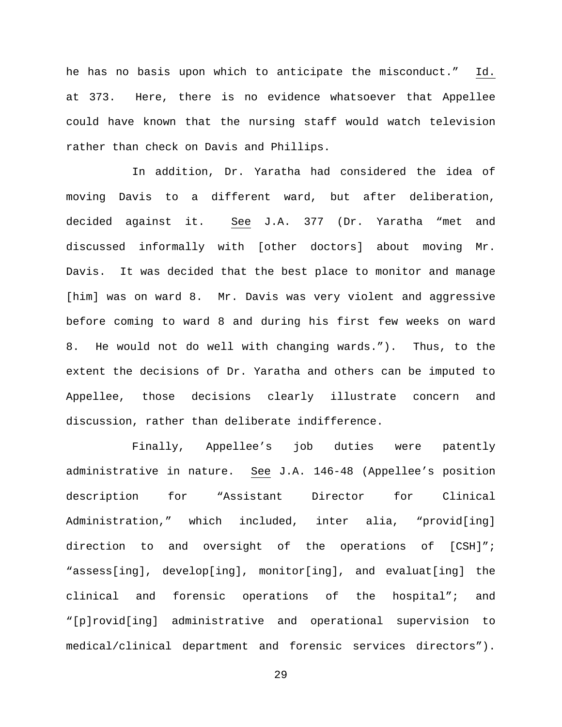he has no basis upon which to anticipate the misconduct." Id. at 373. Here, there is no evidence whatsoever that Appellee could have known that the nursing staff would watch television rather than check on Davis and Phillips.

In addition, Dr. Yaratha had considered the idea of moving Davis to a different ward, but after deliberation, decided against it. See J.A. 377 (Dr. Yaratha "met and discussed informally with [other doctors] about moving Mr. Davis. It was decided that the best place to monitor and manage [him] was on ward 8. Mr. Davis was very violent and aggressive before coming to ward 8 and during his first few weeks on ward 8. He would not do well with changing wards."). Thus, to the extent the decisions of Dr. Yaratha and others can be imputed to Appellee, those decisions clearly illustrate concern and discussion, rather than deliberate indifference.

Finally, Appellee's job duties were patently administrative in nature. See J.A. 146-48 (Appellee's position description for "Assistant Director for Clinical Administration," which included, inter alia, "provid[ing] direction to and oversight of the operations of [CSH]"; "assess[ing], develop[ing], monitor[ing], and evaluat[ing] the clinical and forensic operations of the hospital"; and "[p]rovid[ing] administrative and operational supervision to medical/clinical department and forensic services directors").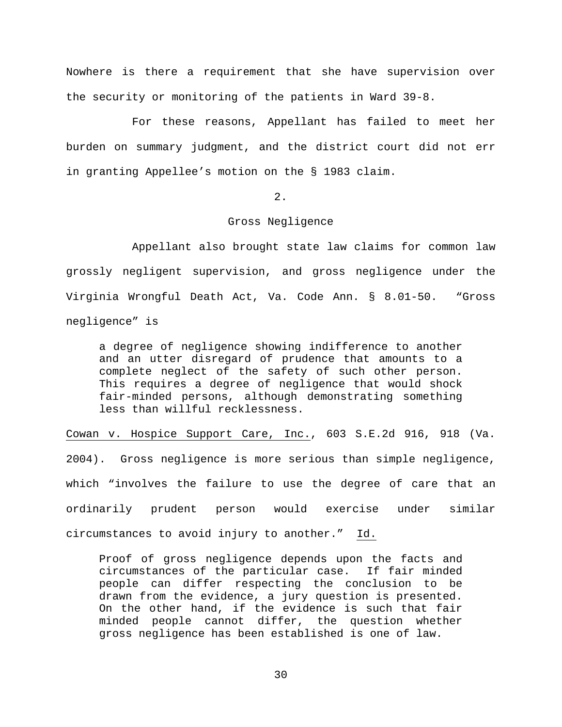Nowhere is there a requirement that she have supervision over the security or monitoring of the patients in Ward 39-8.

For these reasons, Appellant has failed to meet her burden on summary judgment, and the district court did not err in granting Appellee's motion on the § 1983 claim.

2.

# Gross Negligence

Appellant also brought state law claims for common law grossly negligent supervision, and gross negligence under the Virginia Wrongful Death Act, Va. Code Ann. § 8.01-50. "Gross negligence" is

a degree of negligence showing indifference to another and an utter disregard of prudence that amounts to a complete neglect of the safety of such other person. This requires a degree of negligence that would shock fair-minded persons, although demonstrating something less than willful recklessness.

Cowan v. Hospice Support Care, Inc., 603 S.E.2d 916, 918 (Va. 2004). Gross negligence is more serious than simple negligence, which "involves the failure to use the degree of care that an ordinarily prudent person would exercise under similar circumstances to avoid injury to another." Id.

Proof of gross negligence depends upon the facts and<br>circumstances of the particular case. If fair minded circumstances of the particular case. people can differ respecting the conclusion to be drawn from the evidence, a jury question is presented. On the other hand, if the evidence is such that fair minded people cannot differ, the question whether gross negligence has been established is one of law.